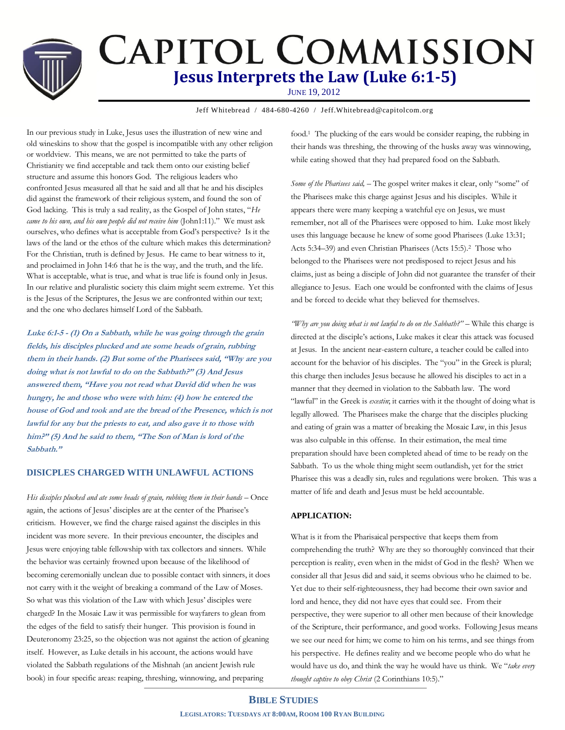# **CAPITOL COMMISSION Jesus Interprets the Law (Luke 6:1-5)**

JUNE 19, 2012

Jeff Whitebread / 484-680-4260 / Jeff.Whitebread@capitolcom.org

In our previous study in Luke, Jesus uses the illustration of new wine and old wineskins to show that the gospel is incompatible with any other religion or worldview. This means, we are not permitted to take the parts of Christianity we find acceptable and tack them onto our existing belief structure and assume this honors God. The religious leaders who confronted Jesus measured all that he said and all that he and his disciples did against the framework of their religious system, and found the son of God lacking. This is truly a sad reality, as the Gospel of John states, "*He came to his own, and his own people did not receive him* (John1:11)." We must ask ourselves, who defines what is acceptable from God's perspective? Is it the laws of the land or the ethos of the culture which makes this determination? For the Christian, truth is defined by Jesus. He came to bear witness to it, and proclaimed in John 14:6 that he is the way, and the truth, and the life. What is acceptable, what is true, and what is true life is found only in Jesus. In our relative and pluralistic society this claim might seem extreme. Yet this is the Jesus of the Scriptures, the Jesus we are confronted within our text; and the one who declares himself Lord of the Sabbath.

**Luke 6:1-5 - (1) On a Sabbath, while he was going through the grain fields, his disciples plucked and ate some heads of grain, rubbing them in their hands. (2) But some of the Pharisees said, "Why are you doing what is not lawful to do on the Sabbath?" (3) And Jesus answered them, "Have you not read what David did when he was hungry, he and those who were with him: (4) how he entered the house of God and took and ate the bread of the Presence, which is not lawful for any but the priests to eat, and also gave it to those with him?" (5) And he said to them, "The Son of Man is lord of the Sabbath."**

## **DISICPLES CHARGED WITH UNLAWFUL ACTIONS**

His disciples plucked and ate some heads of grain, rubbing them in their hands - Once again, the actions of Jesus' disciples are at the center of the Pharisee's criticism. However, we find the charge raised against the disciples in this incident was more severe. In their previous encounter, the disciples and Jesus were enjoying table fellowship with tax collectors and sinners. While the behavior was certainly frowned upon because of the likelihood of becoming ceremonially unclean due to possible contact with sinners, it does not carry with it the weight of breaking a command of the Law of Moses. So what was this violation of the Law with which Jesus' disciples were charged? In the Mosaic Law it was permissible for wayfarers to glean from the edges of the field to satisfy their hunger. This provision is found in Deuteronomy 23:25, so the objection was not against the action of gleaning itself. However, as Luke details in his account, the actions would have violated the Sabbath regulations of the Mishnah (an ancient Jewish rule book) in four specific areas: reaping, threshing, winnowing, and preparing

food.1 The plucking of the ears would be consider reaping, the rubbing in their hands was threshing, the throwing of the husks away was winnowing, while eating showed that they had prepared food on the Sabbath.

*Some of the Pharisees said,* – The gospel writer makes it clear, only "some" of the Pharisees make this charge against Jesus and his disciples. While it appears there were many keeping a watchful eye on Jesus, we must remember, not all of the Pharisees were opposed to him. Luke most likely uses this language because he knew of some good Pharisees (Luke 13:31; Acts 5:34–39) and even Christian Pharisees (Acts 15:5).2 Those who belonged to the Pharisees were not predisposed to reject Jesus and his claims, just as being a disciple of John did not guarantee the transfer of their allegiance to Jesus. Each one would be confronted with the claims of Jesus and be forced to decide what they believed for themselves.

*"Why are you doing what is not lawful to do on the Sabbath?"* – While this charge is directed at the disciple's actions, Luke makes it clear this attack was focused at Jesus. In the ancient near-eastern culture, a teacher could be called into account for the behavior of his disciples. The "you" in the Greek is plural; this charge then includes Jesus because he allowed his disciples to act in a manner that they deemed in violation to the Sabbath law. The word "lawful" in the Greek is *exestin*; it carries with it the thought of doing what is legally allowed. The Pharisees make the charge that the disciples plucking and eating of grain was a matter of breaking the Mosaic Law, in this Jesus was also culpable in this offense. In their estimation, the meal time preparation should have been completed ahead of time to be ready on the Sabbath. To us the whole thing might seem outlandish, yet for the strict Pharisee this was a deadly sin, rules and regulations were broken. This was a matter of life and death and Jesus must be held accountable.

## **APPLICATION:**

What is it from the Pharisaical perspective that keeps them from comprehending the truth? Why are they so thoroughly convinced that their perception is reality, even when in the midst of God in the flesh? When we consider all that Jesus did and said, it seems obvious who he claimed to be. Yet due to their self-righteousness, they had become their own savior and lord and hence, they did not have eyes that could see. From their perspective, they were superior to all other men because of their knowledge of the Scripture, their performance, and good works. Following Jesus means we see our need for him; we come to him on his terms, and see things from his perspective. He defines reality and we become people who do what he would have us do, and think the way he would have us think. We "*take every thought captive to obey Christ* (2 Corinthians 10:5)."